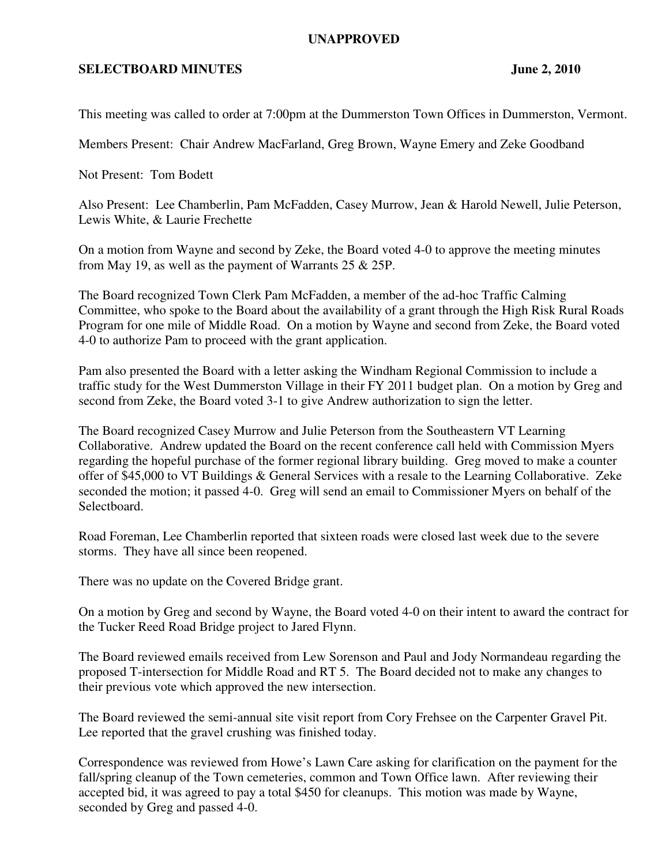## **UNAPPROVED**

## **SELECTBOARD MINUTES** June 2, 2010

This meeting was called to order at 7:00pm at the Dummerston Town Offices in Dummerston, Vermont.

Members Present: Chair Andrew MacFarland, Greg Brown, Wayne Emery and Zeke Goodband

Not Present: Tom Bodett

Also Present: Lee Chamberlin, Pam McFadden, Casey Murrow, Jean & Harold Newell, Julie Peterson, Lewis White, & Laurie Frechette

On a motion from Wayne and second by Zeke, the Board voted 4-0 to approve the meeting minutes from May 19, as well as the payment of Warrants 25 & 25P.

The Board recognized Town Clerk Pam McFadden, a member of the ad-hoc Traffic Calming Committee, who spoke to the Board about the availability of a grant through the High Risk Rural Roads Program for one mile of Middle Road. On a motion by Wayne and second from Zeke, the Board voted 4-0 to authorize Pam to proceed with the grant application.

Pam also presented the Board with a letter asking the Windham Regional Commission to include a traffic study for the West Dummerston Village in their FY 2011 budget plan. On a motion by Greg and second from Zeke, the Board voted 3-1 to give Andrew authorization to sign the letter.

The Board recognized Casey Murrow and Julie Peterson from the Southeastern VT Learning Collaborative. Andrew updated the Board on the recent conference call held with Commission Myers regarding the hopeful purchase of the former regional library building. Greg moved to make a counter offer of \$45,000 to VT Buildings & General Services with a resale to the Learning Collaborative. Zeke seconded the motion; it passed 4-0. Greg will send an email to Commissioner Myers on behalf of the Selectboard.

Road Foreman, Lee Chamberlin reported that sixteen roads were closed last week due to the severe storms. They have all since been reopened.

There was no update on the Covered Bridge grant.

On a motion by Greg and second by Wayne, the Board voted 4-0 on their intent to award the contract for the Tucker Reed Road Bridge project to Jared Flynn.

The Board reviewed emails received from Lew Sorenson and Paul and Jody Normandeau regarding the proposed T-intersection for Middle Road and RT 5. The Board decided not to make any changes to their previous vote which approved the new intersection.

The Board reviewed the semi-annual site visit report from Cory Frehsee on the Carpenter Gravel Pit. Lee reported that the gravel crushing was finished today.

Correspondence was reviewed from Howe's Lawn Care asking for clarification on the payment for the fall/spring cleanup of the Town cemeteries, common and Town Office lawn. After reviewing their accepted bid, it was agreed to pay a total \$450 for cleanups. This motion was made by Wayne, seconded by Greg and passed 4-0.